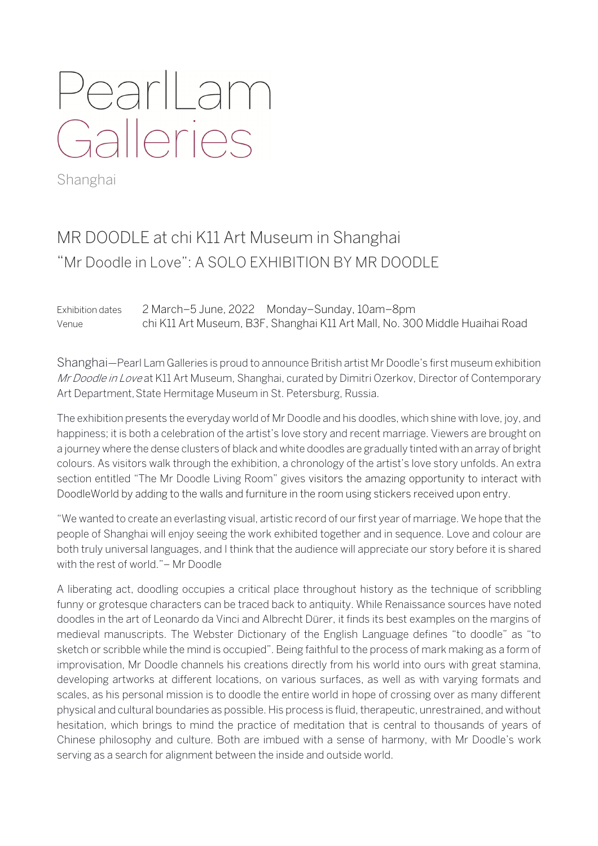# PearlLam Galleries

Shanghai

## MR DOODLE at chi K11 Art Museum in Shanghai "Mr Doodle in Love": A SOLO EXHIBITION BY MR DOODLE

Exhibition dates 2 March–5 June, 2022 Monday–Sunday, 10am–8pm Venue chi K11 Art Museum, B3F, Shanghai K11 Art Mall, No. 300 Middle Huaihai Road

Shanghai—Pearl Lam Galleries is proud to announce British artist Mr Doodle's first museum exhibition Mr Doodle in Love at K11 Art Museum, Shanghai, curated by Dimitri Ozerkov, Director of Contemporary Art Department, State Hermitage Museum in St. Petersburg, Russia.

The exhibition presents the everyday world of Mr Doodle and his doodles, which shine with love, joy, and happiness; it is both a celebration of the artist's love story and recent marriage. Viewers are brought on a journey where the dense clusters of black and white doodles are gradually tinted with an array of bright colours. As visitors walk through the exhibition, a chronology of the artist's love story unfolds. An extra section entitled "The Mr Doodle Living Room" gives visitors the amazing opportunity to interact with DoodleWorld by adding to the walls and furniture in the room using stickers received upon entry.

"We wanted to create an everlasting visual, artistic record of our first year of marriage. We hope that the people of Shanghai will enjoy seeing the work exhibited together and in sequence. Love and colour are both truly universal languages, and I think that the audience will appreciate our story before it is shared with the rest of world."– Mr Doodle

A liberating act, doodling occupies a critical place throughout history as the technique of scribbling funny or grotesque characters can be traced back to antiquity. While Renaissance sources have noted doodles in the art of Leonardo da Vinci and Albrecht Dürer, it finds its best examples on the margins of medieval manuscripts. The Webster Dictionary of the English Language defines "to doodle" as "to sketch or scribble while the mind is occupied". Being faithful to the process of mark making as a form of improvisation, Mr Doodle channels his creations directly from his world into ours with great stamina, developing artworks at different locations, on various surfaces, as well as with varying formats and scales, as his personal mission is to doodle the entire world in hope of crossing over as many different physical and cultural boundaries as possible. His process is fluid, therapeutic, unrestrained, and without hesitation, which brings to mind the practice of meditation that is central to thousands of years of Chinese philosophy and culture. Both are imbued with a sense of harmony, with Mr Doodle's work serving as a search for alignment between the inside and outside world.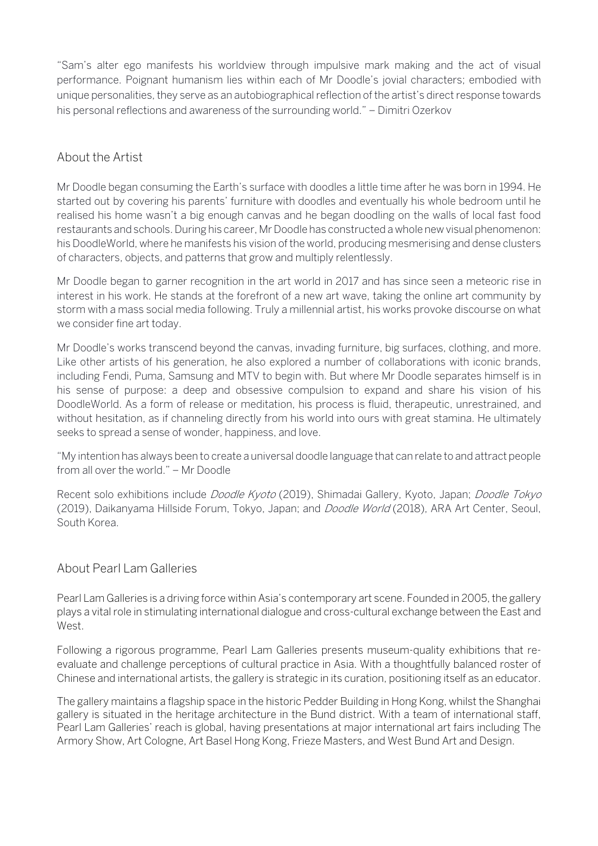"Sam's alter ego manifests his worldview through impulsive mark making and the act of visual performance. Poignant humanism lies within each of Mr Doodle's jovial characters; embodied with unique personalities, they serve as an autobiographical reflection of the artist's direct response towards his personal reflections and awareness of the surrounding world." – Dimitri Ozerkov

#### About the Artist

Mr Doodle began consuming the Earth's surface with doodles a little time after he was born in 1994. He started out by covering his parents' furniture with doodles and eventually his whole bedroom until he realised his home wasn't a big enough canvas and he began doodling on the walls of local fast food restaurants and schools. During his career, Mr Doodle has constructed a whole new visual phenomenon: his DoodleWorld, where he manifests his vision of the world, producing mesmerising and dense clusters of characters, objects, and patterns that grow and multiply relentlessly.

Mr Doodle began to garner recognition in the art world in 2017 and has since seen a meteoric rise in interest in his work. He stands at the forefront of a new art wave, taking the online art community by storm with a mass social media following. Truly a millennial artist, his works provoke discourse on what we consider fine art today.

Mr Doodle's works transcend beyond the canvas, invading furniture, big surfaces, clothing, and more. Like other artists of his generation, he also explored a number of collaborations with iconic brands, including Fendi, Puma, Samsung and MTV to begin with. But where Mr Doodle separates himself is in his sense of purpose: a deep and obsessive compulsion to expand and share his vision of his DoodleWorld. As a form of release or meditation, his process is fluid, therapeutic, unrestrained, and without hesitation, as if channeling directly from his world into ours with great stamina. He ultimately seeks to spread a sense of wonder, happiness, and love.

"My intention has always been to create a universal doodle language that can relate to and attract people from all over the world." – Mr Doodle

Recent solo exhibitions include Doodle Kyoto (2019), Shimadai Gallery, Kyoto, Japan; Doodle Tokyo (2019), Daikanyama Hillside Forum, Tokyo, Japan; and *Doodle World* (2018), ARA Art Center, Seoul, South Korea.

#### About Pearl Lam Galleries

Pearl Lam Galleries is a driving force within Asia's contemporary art scene. Founded in 2005, the gallery plays a vital role in stimulating international dialogue and cross-cultural exchange between the East and West.

Following a rigorous programme, Pearl Lam Galleries presents museum-quality exhibitions that reevaluate and challenge perceptions of cultural practice in Asia. With a thoughtfully balanced roster of Chinese and international artists, the gallery is strategic in its curation, positioning itself as an educator.

The gallery maintains a flagship space in the historic Pedder Building in Hong Kong, whilst the Shanghai gallery is situated in the heritage architecture in the Bund district. With a team of international staff, Pearl Lam Galleries' reach is global, having presentations at major international art fairs including The Armory Show, Art Cologne, Art Basel Hong Kong, Frieze Masters, and West Bund Art and Design.